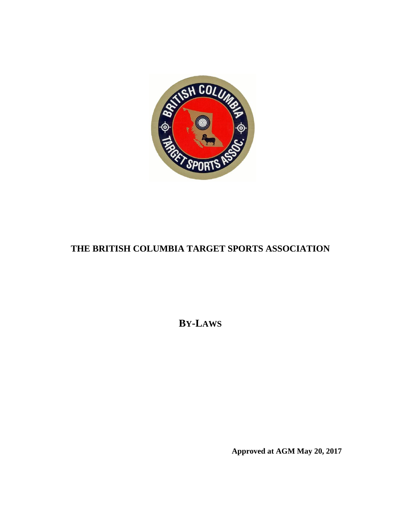

# **THE BRITISH COLUMBIA TARGET SPORTS ASSOCIATION**

**BY-LAWS**

**Approved at AGM May 20, 2017**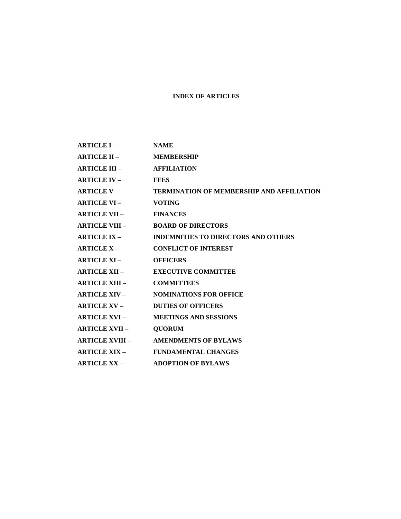#### **INDEX OF ARTICLES**

- **ARTICLE I – NAME**
- **ARTICLE II – MEMBERSHIP**
- **ARTICLE III – AFFILIATION**
- **ARTICLE IV – FEES**
- **ARTICLE V – TERMINATION OF MEMBERSHIP AND AFFILIATION**
- **ARTICLE VI – VOTING**
- **ARTICLE VII – FINANCES**
- **ARTICLE VIII – BOARD OF DIRECTORS**
- **ARTICLE IX – INDEMNITIES TO DIRECTORS AND OTHERS**
- **ARTICLE X – CONFLICT OF INTEREST**
- **ARTICLE XI – OFFICERS**
- **ARTICLE XII – EXECUTIVE COMMITTEE**
- **ARTICLE XIII – COMMITTEES**
- **ARTICLE XIV – NOMINATIONS FOR OFFICE**
- **ARTICLE XV – DUTIES OF OFFICERS**
- **ARTICLE XVI – MEETINGS AND SESSIONS**
- **ARTICLE XVII – QUORUM**
- **ARTICLE XVIII – AMENDMENTS OF BYLAWS**
- **ARTICLE XIX – FUNDAMENTAL CHANGES**
- **ARTICLE XX – ADOPTION OF BYLAWS**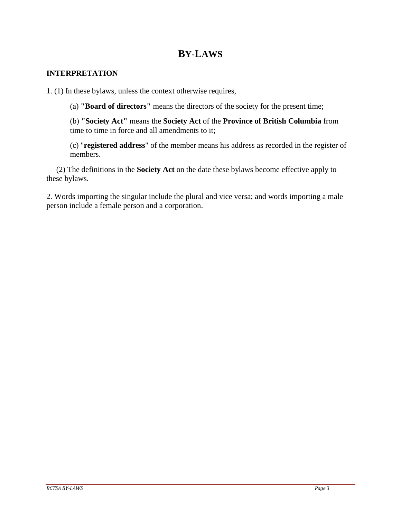# **BY-LAWS**

### **INTERPRETATION**

1. (1) In these bylaws, unless the context otherwise requires,

(a) **"Board of directors"** means the directors of the society for the present time;

(b) **"Society Act"** means the **Society Act** of the **Province of British Columbia** from time to time in force and all amendments to it;

(c) "**registered address**" of the member means his address as recorded in the register of members.

 (2) The definitions in the **Society Act** on the date these bylaws become effective apply to these bylaws.

2. Words importing the singular include the plural and vice versa; and words importing a male person include a female person and a corporation.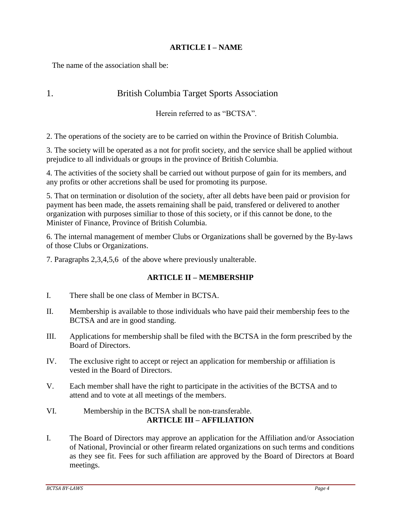# **ARTICLE I – NAME**

The name of the association shall be:

# 1. British Columbia Target Sports Association

Herein referred to as "BCTSA".

2. The operations of the society are to be carried on within the Province of British Columbia.

3. The society will be operated as a not for profit society, and the service shall be applied without prejudice to all individuals or groups in the province of British Columbia.

4. The activities of the society shall be carried out without purpose of gain for its members, and any profits or other accretions shall be used for promoting its purpose.

5. That on termination or disolution of the society, after all debts have been paid or provision for payment has been made, the assets remaining shall be paid, transfered or delivered to another organization with purposes similiar to those of this society, or if this cannot be done, to the Minister of Finance, Province of British Columbia.

6. The internal management of member Clubs or Organizations shall be governed by the By-laws of those Clubs or Organizations.

7. Paragraphs 2,3,4,5,6 of the above where previously unalterable.

# **ARTICLE II – MEMBERSHIP**

- I. There shall be one class of Member in BCTSA.
- II. Membership is available to those individuals who have paid their membership fees to the BCTSA and are in good standing.
- III. Applications for membership shall be filed with the BCTSA in the form prescribed by the Board of Directors.
- IV. The exclusive right to accept or reject an application for membership or affiliation is vested in the Board of Directors.
- V. Each member shall have the right to participate in the activities of the BCTSA and to attend and to vote at all meetings of the members.
- VI. Membership in the BCTSA shall be non-transferable. **ARTICLE III – AFFILIATION**
- I. The Board of Directors may approve an application for the Affiliation and/or Association of National, Provincial or other firearm related organizations on such terms and conditions as they see fit. Fees for such affiliation are approved by the Board of Directors at Board meetings.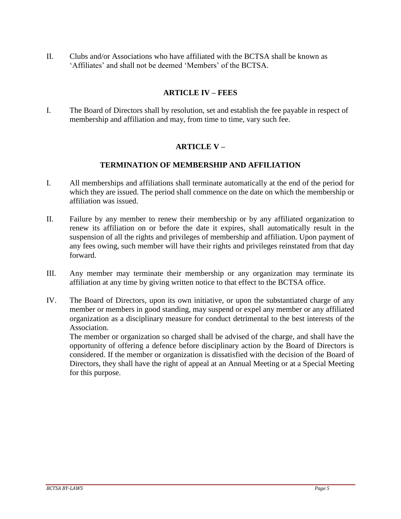II. Clubs and/or Associations who have affiliated with the BCTSA shall be known as 'Affiliates' and shall not be deemed 'Members' of the BCTSA.

# **ARTICLE IV – FEES**

I. The Board of Directors shall by resolution, set and establish the fee payable in respect of membership and affiliation and may, from time to time, vary such fee.

# **ARTICLE V –**

#### **TERMINATION OF MEMBERSHIP AND AFFILIATION**

- I. All memberships and affiliations shall terminate automatically at the end of the period for which they are issued. The period shall commence on the date on which the membership or affiliation was issued.
- II. Failure by any member to renew their membership or by any affiliated organization to renew its affiliation on or before the date it expires, shall automatically result in the suspension of all the rights and privileges of membership and affiliation. Upon payment of any fees owing, such member will have their rights and privileges reinstated from that day forward.
- III. Any member may terminate their membership or any organization may terminate its affiliation at any time by giving written notice to that effect to the BCTSA office.
- IV. The Board of Directors, upon its own initiative, or upon the substantiated charge of any member or members in good standing, may suspend or expel any member or any affiliated organization as a disciplinary measure for conduct detrimental to the best interests of the Association.

The member or organization so charged shall be advised of the charge, and shall have the opportunity of offering a defence before disciplinary action by the Board of Directors is considered. If the member or organization is dissatisfied with the decision of the Board of Directors, they shall have the right of appeal at an Annual Meeting or at a Special Meeting for this purpose.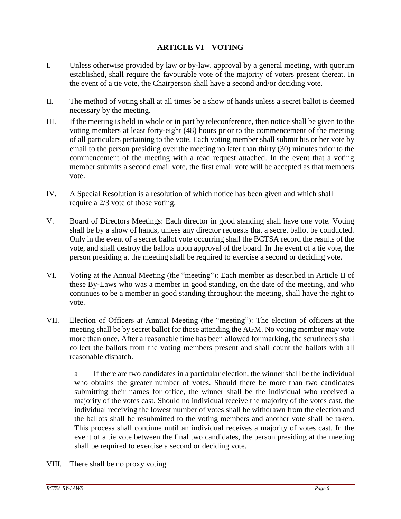# **ARTICLE VI – VOTING**

- I. Unless otherwise provided by law or by-law, approval by a general meeting, with quorum established, shall require the favourable vote of the majority of voters present thereat. In the event of a tie vote, the Chairperson shall have a second and/or deciding vote.
- II. The method of voting shall at all times be a show of hands unless a secret ballot is deemed necessary by the meeting.
- III. If the meeting is held in whole or in part by teleconference, then notice shall be given to the voting members at least forty-eight (48) hours prior to the commencement of the meeting of all particulars pertaining to the vote. Each voting member shall submit his or her vote by email to the person presiding over the meeting no later than thirty (30) minutes prior to the commencement of the meeting with a read request attached. In the event that a voting member submits a second email vote, the first email vote will be accepted as that members vote.
- IV. A Special Resolution is a resolution of which notice has been given and which shall require a 2/3 vote of those voting.
- V. Board of Directors Meetings: Each director in good standing shall have one vote. Voting shall be by a show of hands, unless any director requests that a secret ballot be conducted. Only in the event of a secret ballot vote occurring shall the BCTSA record the results of the vote, and shall destroy the ballots upon approval of the board. In the event of a tie vote, the person presiding at the meeting shall be required to exercise a second or deciding vote.
- VI. Voting at the Annual Meeting (the "meeting"): Each member as described in Article II of these By-Laws who was a member in good standing, on the date of the meeting, and who continues to be a member in good standing throughout the meeting, shall have the right to vote.
- VII. Election of Officers at Annual Meeting (the "meeting"): The election of officers at the meeting shall be by secret ballot for those attending the AGM. No voting member may vote more than once. After a reasonable time has been allowed for marking, the scrutineers shall collect the ballots from the voting members present and shall count the ballots with all reasonable dispatch.

a If there are two candidates in a particular election, the winner shall be the individual who obtains the greater number of votes. Should there be more than two candidates submitting their names for office, the winner shall be the individual who received a majority of the votes cast. Should no individual receive the majority of the votes cast, the individual receiving the lowest number of votes shall be withdrawn from the election and the ballots shall be resubmitted to the voting members and another vote shall be taken. This process shall continue until an individual receives a majority of votes cast. In the event of a tie vote between the final two candidates, the person presiding at the meeting shall be required to exercise a second or deciding vote.

VIII. There shall be no proxy voting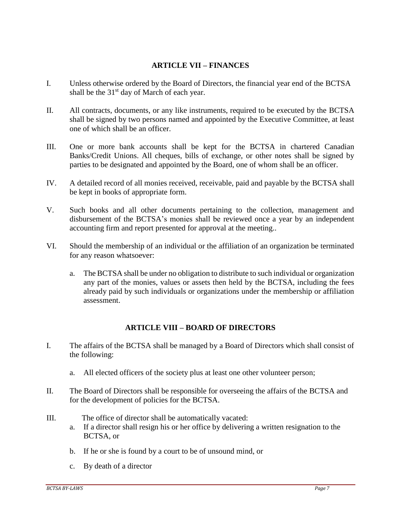### **ARTICLE VII – FINANCES**

- I. Unless otherwise ordered by the Board of Directors, the financial year end of the BCTSA shall be the  $31<sup>st</sup>$  day of March of each year.
- II. All contracts, documents, or any like instruments, required to be executed by the BCTSA shall be signed by two persons named and appointed by the Executive Committee, at least one of which shall be an officer.
- III. One or more bank accounts shall be kept for the BCTSA in chartered Canadian Banks/Credit Unions. All cheques, bills of exchange, or other notes shall be signed by parties to be designated and appointed by the Board, one of whom shall be an officer.
- IV. A detailed record of all monies received, receivable, paid and payable by the BCTSA shall be kept in books of appropriate form.
- V. Such books and all other documents pertaining to the collection, management and disbursement of the BCTSA's monies shall be reviewed once a year by an independent accounting firm and report presented for approval at the meeting..
- VI. Should the membership of an individual or the affiliation of an organization be terminated for any reason whatsoever:
	- a. The BCTSA shall be under no obligation to distribute to such individual or organization any part of the monies, values or assets then held by the BCTSA, including the fees already paid by such individuals or organizations under the membership or affiliation assessment.

# **ARTICLE VIII – BOARD OF DIRECTORS**

- I. The affairs of the BCTSA shall be managed by a Board of Directors which shall consist of the following:
	- a. All elected officers of the society plus at least one other volunteer person;
- II. The Board of Directors shall be responsible for overseeing the affairs of the BCTSA and for the development of policies for the BCTSA.
- III. The office of director shall be automatically vacated:
	- a. If a director shall resign his or her office by delivering a written resignation to the BCTSA, or
	- b. If he or she is found by a court to be of unsound mind, or
	- c. By death of a director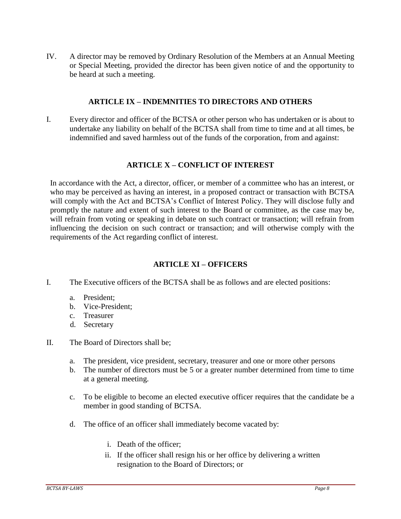IV. A director may be removed by Ordinary Resolution of the Members at an Annual Meeting or Special Meeting, provided the director has been given notice of and the opportunity to be heard at such a meeting.

#### **ARTICLE IX – INDEMNITIES TO DIRECTORS AND OTHERS**

I. Every director and officer of the BCTSA or other person who has undertaken or is about to undertake any liability on behalf of the BCTSA shall from time to time and at all times, be indemnified and saved harmless out of the funds of the corporation, from and against:

#### **ARTICLE X – CONFLICT OF INTEREST**

In accordance with the Act, a director, officer, or member of a committee who has an interest, or who may be perceived as having an interest, in a proposed contract or transaction with BCTSA will comply with the Act and BCTSA's Conflict of Interest Policy. They will disclose fully and promptly the nature and extent of such interest to the Board or committee, as the case may be, will refrain from voting or speaking in debate on such contract or transaction; will refrain from influencing the decision on such contract or transaction; and will otherwise comply with the requirements of the Act regarding conflict of interest.

# **ARTICLE XI – OFFICERS**

I. The Executive officers of the BCTSA shall be as follows and are elected positions:

- a. President;
- b. Vice-President;
- c. Treasurer
- d. Secretary
- II. The Board of Directors shall be;
	- a. The president, vice president, secretary, treasurer and one or more other persons
	- b. The number of directors must be 5 or a greater number determined from time to time at a general meeting.
	- c. To be eligible to become an elected executive officer requires that the candidate be a member in good standing of BCTSA.
	- d. The office of an officer shall immediately become vacated by:
		- i. Death of the officer;
		- ii. If the officer shall resign his or her office by delivering a written resignation to the Board of Directors; or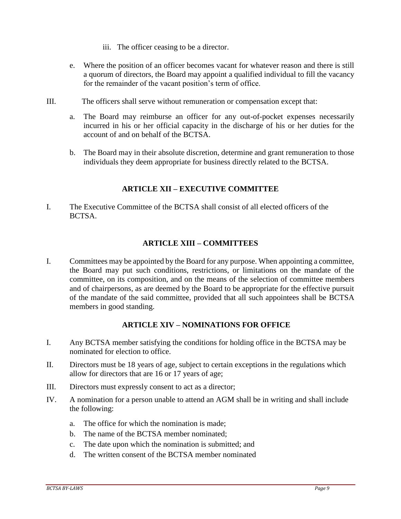- iii. The officer ceasing to be a director.
- e. Where the position of an officer becomes vacant for whatever reason and there is still a quorum of directors, the Board may appoint a qualified individual to fill the vacancy for the remainder of the vacant position's term of office.
- III. The officers shall serve without remuneration or compensation except that:
	- a. The Board may reimburse an officer for any out-of-pocket expenses necessarily incurred in his or her official capacity in the discharge of his or her duties for the account of and on behalf of the BCTSA.
	- b. The Board may in their absolute discretion, determine and grant remuneration to those individuals they deem appropriate for business directly related to the BCTSA.

# **ARTICLE XII – EXECUTIVE COMMITTEE**

I. The Executive Committee of the BCTSA shall consist of all elected officers of the BCTSA.

# **ARTICLE XIII – COMMITTEES**

I. Committees may be appointed by the Board for any purpose. When appointing a committee, the Board may put such conditions, restrictions, or limitations on the mandate of the committee, on its composition, and on the means of the selection of committee members and of chairpersons, as are deemed by the Board to be appropriate for the effective pursuit of the mandate of the said committee, provided that all such appointees shall be BCTSA members in good standing.

# **ARTICLE XIV – NOMINATIONS FOR OFFICE**

- I. Any BCTSA member satisfying the conditions for holding office in the BCTSA may be nominated for election to office.
- II. Directors must be 18 years of age, subject to certain exceptions in the regulations which allow for directors that are 16 or 17 years of age;
- III. Directors must expressly consent to act as a director;
- IV. A nomination for a person unable to attend an AGM shall be in writing and shall include the following:
	- a. The office for which the nomination is made;
	- b. The name of the BCTSA member nominated;
	- c. The date upon which the nomination is submitted; and
	- d. The written consent of the BCTSA member nominated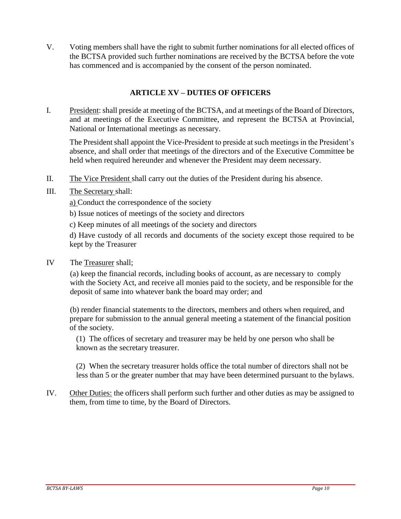V. Voting members shall have the right to submit further nominations for all elected offices of the BCTSA provided such further nominations are received by the BCTSA before the vote has commenced and is accompanied by the consent of the person nominated.

# **ARTICLE XV – DUTIES OF OFFICERS**

I. President: shall preside at meeting of the BCTSA, and at meetings of the Board of Directors, and at meetings of the Executive Committee, and represent the BCTSA at Provincial, National or International meetings as necessary.

The President shall appoint the Vice-President to preside at such meetings in the President's absence, and shall order that meetings of the directors and of the Executive Committee be held when required hereunder and whenever the President may deem necessary.

- II. The Vice President shall carry out the duties of the President during his absence.
- III. The Secretary shall:
	- a) Conduct the correspondence of the society
	- b) Issue notices of meetings of the society and directors
	- c) Keep minutes of all meetings of the society and directors

d) Have custody of all records and documents of the society except those required to be kept by the Treasurer

IV The Treasurer shall;

(a) keep the financial records, including books of account, as are necessary to comply with the Society Act, and receive all monies paid to the society, and be responsible for the deposit of same into whatever bank the board may order; and

(b) render financial statements to the directors, members and others when required, and prepare for submission to the annual general meeting a statement of the financial position of the society.

(1) The offices of secretary and treasurer may be held by one person who shall be known as the secretary treasurer.

(2) When the secretary treasurer holds office the total number of directors shall not be less than 5 or the greater number that may have been determined pursuant to the bylaws.

IV. Other Duties: the officers shall perform such further and other duties as may be assigned to them, from time to time, by the Board of Directors.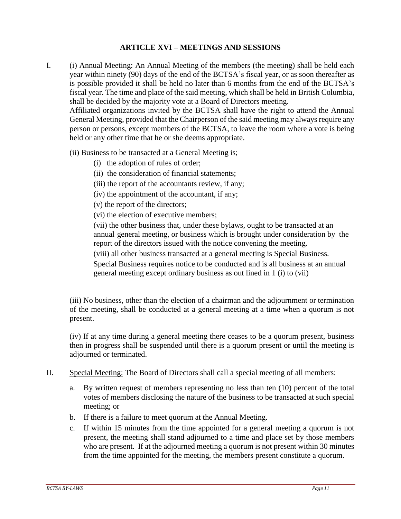### **ARTICLE XVI – MEETINGS AND SESSIONS**

I. (i) Annual Meeting: An Annual Meeting of the members (the meeting) shall be held each year within ninety (90) days of the end of the BCTSA's fiscal year, or as soon thereafter as is possible provided it shall be held no later than 6 months from the end of the BCTSA's fiscal year. The time and place of the said meeting, which shall be held in British Columbia, shall be decided by the majority vote at a Board of Directors meeting.

Affiliated organizations invited by the BCTSA shall have the right to attend the Annual General Meeting, provided that the Chairperson of the said meeting may always require any person or persons, except members of the BCTSA, to leave the room where a vote is being held or any other time that he or she deems appropriate.

- (ii) Business to be transacted at a General Meeting is;
	- (i) the adoption of rules of order;
	- (ii) the consideration of financial statements;
	- (iii) the report of the accountants review, if any;
	- (iv) the appointment of the accountant, if any;
	- (v) the report of the directors;
	- (vi) the election of executive members;

(vii) the other business that, under these bylaws, ought to be transacted at an annual general meeting, or business which is brought under consideration by the report of the directors issued with the notice convening the meeting.

(viii) all other business transacted at a general meeting is Special Business.

Special Business requires notice to be conducted and is all business at an annual general meeting except ordinary business as out lined in 1 (i) to (vii)

(iii) No business, other than the election of a chairman and the adjournment or termination of the meeting, shall be conducted at a general meeting at a time when a quorum is not present.

(iv) If at any time during a general meeting there ceases to be a quorum present, business then in progress shall be suspended until there is a quorum present or until the meeting is adjourned or terminated.

- II. Special Meeting: The Board of Directors shall call a special meeting of all members:
	- a. By written request of members representing no less than ten (10) percent of the total votes of members disclosing the nature of the business to be transacted at such special meeting; or
	- b. If there is a failure to meet quorum at the Annual Meeting.
	- c. If within 15 minutes from the time appointed for a general meeting a quorum is not present, the meeting shall stand adjourned to a time and place set by those members who are present. If at the adjourned meeting a quorum is not present within 30 minutes from the time appointed for the meeting, the members present constitute a quorum.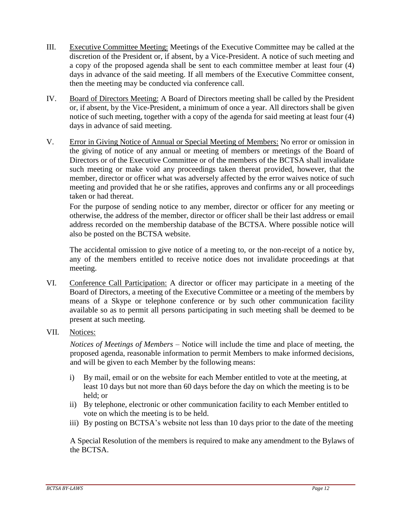- III. Executive Committee Meeting: Meetings of the Executive Committee may be called at the discretion of the President or, if absent, by a Vice-President. A notice of such meeting and a copy of the proposed agenda shall be sent to each committee member at least four (4) days in advance of the said meeting. If all members of the Executive Committee consent, then the meeting may be conducted via conference call.
- IV. Board of Directors Meeting: A Board of Directors meeting shall be called by the President or, if absent, by the Vice-President, a minimum of once a year. All directors shall be given notice of such meeting, together with a copy of the agenda for said meeting at least four (4) days in advance of said meeting.
- V. Error in Giving Notice of Annual or Special Meeting of Members: No error or omission in the giving of notice of any annual or meeting of members or meetings of the Board of Directors or of the Executive Committee or of the members of the BCTSA shall invalidate such meeting or make void any proceedings taken thereat provided, however, that the member, director or officer what was adversely affected by the error waives notice of such meeting and provided that he or she ratifies, approves and confirms any or all proceedings taken or had thereat.

For the purpose of sending notice to any member, director or officer for any meeting or otherwise, the address of the member, director or officer shall be their last address or email address recorded on the membership database of the BCTSA. Where possible notice will also be posted on the BCTSA website.

The accidental omission to give notice of a meeting to, or the non-receipt of a notice by, any of the members entitled to receive notice does not invalidate proceedings at that meeting.

- VI. Conference Call Participation: A director or officer may participate in a meeting of the Board of Directors, a meeting of the Executive Committee or a meeting of the members by means of a Skype or telephone conference or by such other communication facility available so as to permit all persons participating in such meeting shall be deemed to be present at such meeting.
- VII. Notices:

*Notices of Meetings of Members* – Notice will include the time and place of meeting, the proposed agenda, reasonable information to permit Members to make informed decisions, and will be given to each Member by the following means:

- i) By mail, email or on the website for each Member entitled to vote at the meeting, at least 10 days but not more than 60 days before the day on which the meeting is to be held; or
- ii) By telephone, electronic or other communication facility to each Member entitled to vote on which the meeting is to be held.
- iii) By posting on BCTSA's website not less than 10 days prior to the date of the meeting

A Special Resolution of the members is required to make any amendment to the Bylaws of the BCTSA.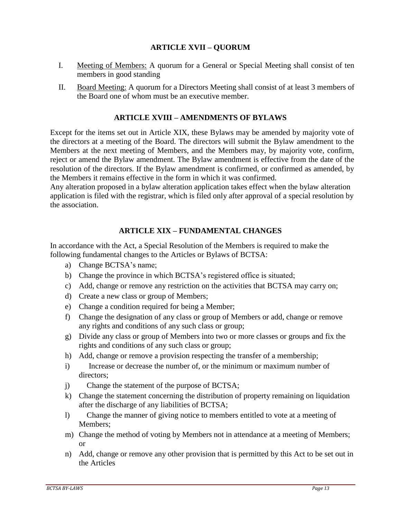# **ARTICLE XVII – QUORUM**

- I. Meeting of Members: A quorum for a General or Special Meeting shall consist of ten members in good standing
- II. Board Meeting: A quorum for a Directors Meeting shall consist of at least 3 members of the Board one of whom must be an executive member.

#### **ARTICLE XVIII – AMENDMENTS OF BYLAWS**

Except for the items set out in Article XIX, these Bylaws may be amended by majority vote of the directors at a meeting of the Board. The directors will submit the Bylaw amendment to the Members at the next meeting of Members, and the Members may, by majority vote, confirm, reject or amend the Bylaw amendment. The Bylaw amendment is effective from the date of the resolution of the directors. If the Bylaw amendment is confirmed, or confirmed as amended, by the Members it remains effective in the form in which it was confirmed.

Any alteration proposed in a bylaw alteration application takes effect when the bylaw alteration application is filed with the registrar, which is filed only after approval of a special resolution by the association.

# **ARTICLE XIX – FUNDAMENTAL CHANGES**

In accordance with the Act, a Special Resolution of the Members is required to make the following fundamental changes to the Articles or Bylaws of BCTSA:

- a) Change BCTSA's name;
- b) Change the province in which BCTSA's registered office is situated;
- c) Add, change or remove any restriction on the activities that BCTSA may carry on;
- d) Create a new class or group of Members;
- e) Change a condition required for being a Member;
- f) Change the designation of any class or group of Members or add, change or remove any rights and conditions of any such class or group;
- g) Divide any class or group of Members into two or more classes or groups and fix the rights and conditions of any such class or group;
- h) Add, change or remove a provision respecting the transfer of a membership;
- i) Increase or decrease the number of, or the minimum or maximum number of directors;
- j) Change the statement of the purpose of BCTSA;
- k) Change the statement concerning the distribution of property remaining on liquidation after the discharge of any liabilities of BCTSA;
- l) Change the manner of giving notice to members entitled to vote at a meeting of Members;
- m) Change the method of voting by Members not in attendance at a meeting of Members; or
- n) Add, change or remove any other provision that is permitted by this Act to be set out in the Articles